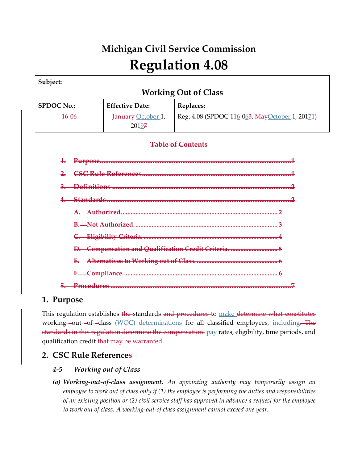# **Michigan Civil Service Commission Regulation 4.08**

| Subject:                    |                             |                                                    |  |  |  |
|-----------------------------|-----------------------------|----------------------------------------------------|--|--|--|
| <b>Working Out of Class</b> |                             |                                                    |  |  |  |
| <b>SPDOC No.:</b>           | <b>Effective Date:</b>      | <b>Replaces:</b>                                   |  |  |  |
| $16 - 06$                   | January October 1,<br>20197 | Reg. 4.08 (SPDOC 146-063, MayOctober 1, 20174)     |  |  |  |
|                             |                             | <b>Table of Contents</b>                           |  |  |  |
|                             |                             |                                                    |  |  |  |
|                             |                             |                                                    |  |  |  |
|                             |                             |                                                    |  |  |  |
|                             |                             |                                                    |  |  |  |
|                             |                             |                                                    |  |  |  |
|                             |                             |                                                    |  |  |  |
|                             |                             |                                                    |  |  |  |
|                             |                             | D. Compensation and Qualification Credit Criteria. |  |  |  |
|                             |                             |                                                    |  |  |  |
|                             |                             |                                                    |  |  |  |
|                             |                             |                                                    |  |  |  |

## **1. Purpose**

This regulation establishes the standards and procedures to make determine what constitutes working--out--of--class (WOC) determinations for all classified employees, including. The standards in this regulation determine the compensation-pay rates, eligibility, time periods, and qualification credit-that may be warranted.

## **2. CSC Rule References**

## *4-5 Working out of Class*

*(a) Working-out-of-class assignment. An appointing authority may temporarily assign an employee to work out of class only if (1) the employee is performing the duties and responsibilities of an existing position or (2) civil service staff has approved in advance a request for the employee to work out of class. A working-out-of class assignment cannot exceed one year.*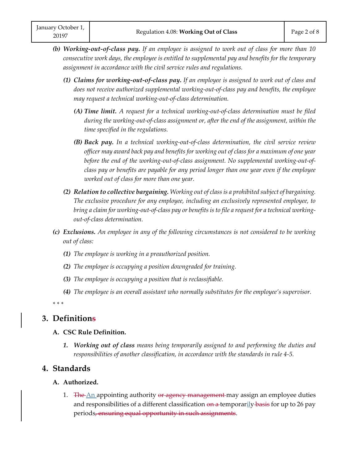- *(b) Working-out-of-class pay. If an employee is assigned to work out of class for more than 10 consecutive work days, the employee is entitled to supplemental pay and benefits for the temporary assignment in accordance with the civil service rules and regulations.*
	- *(1) Claims for working-out-of-class pay. If an employee is assigned to work out of class and does not receive authorized supplemental working-out-of-class pay and benefits, the employee may request a technical working-out-of-class determination.*
		- *(A) Time limit. A request for a technical working-out-of-class determination must be filed during the working-out-of-class assignment or, after the end of the assignment, within the time specified in the regulations.*
		- *(B) Back pay. In a technical working-out-of-class determination, the civil service review officer may award back pay and benefits for working out of class for a maximum of one year before the end of the working-out-of-class assignment. No supplemental working-out-ofclass pay or benefits are payable for any period longer than one year even if the employee worked out of class for more than one year.*
	- *(2) Relation to collective bargaining. Working out of class is a prohibited subject of bargaining. The exclusive procedure for any employee, including an exclusively represented employee, to bring a claim for working-out-of-class pay or benefits is to file a request for a technical workingout-of-class determination.*
- *(c) Exclusions. An employee in any of the following circumstances is not considered to be working out of class:*
	- *(1) The employee is working in a preauthorized position.*
	- *(2) The employee is occupying a position downgraded for training.*
	- *(3) The employee is occupying a position that is reclassifiable.*
	- *(4) The employee is an overall assistant who normally substitutes for the employee's supervisor.*

*\* \* \** 

## **3. Definitions**

#### **A. CSC Rule Definition.**

*1. Working out of class means being temporarily assigned to and performing the duties and responsibilities of another classification, in accordance with the standards in rule 4-5.*

### **4. Standards**

#### **A. Authorized.**

1. The An appointing authority or agency management may assign an employee duties and responsibilities of a different classification on a temporarily basis for up to 26 pay periods, ensuring equal opportunity in such assignments.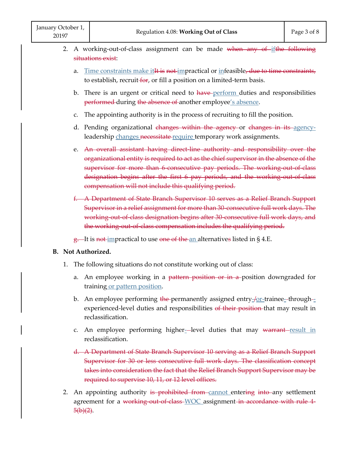- 2. A working-out-of-class assignment can be made when any of  $if$ the following situations exist: Regulation 4.08: Working Out of<br>working-out-of-class assignment can be made<br>ations exist:<br>Time constraints make it It is not impractical or into<br>to establish, recruit-for, or fill a position on a lim<br>There is an urgent or
	- a. Time constraints make it<sup>It</sup> is not impractical or infeasible, due to time constraints, to establish, recruit for, or fill a position on a limited-term basis.
	- b. There is an urgent or critical need to have-perform duties and responsibilities performed during the absence of another employee's absence.
	- c. The appointing authority is in the process of recruiting to fill the position.
	- d. Pending organizational changes within the agency or changes in its agencyleadership changes necessitate require temporary work assignments.
	- e. An overall assistant having direct-line authority and responsibility over the organizational entity is required to act as the chief supervisor in the absence of the supervisor for more than 6 consecutive pay periods. The working out of class designation begins after the first 6 pay periods, and the working-out-of-class compensation will not include this qualifying period.
	- f. A Department of State Branch Supervisor 10 serves as a Relief Branch Support Supervisor in a relief assignment for more than 30-consecutive full work days. The working-out-of-class designation begins after 30 consecutive full work days, and the working-out-of-class compensation includes the qualifying period.

 $g$ . It is not impractical to use one of the an alternatives listed in §4.E.

#### **B. Not Authorized.**

- 1. The following situations do not constitute working out of class:
	- a. An employee working in a pattern position or in a position downgraded for training or pattern position.
	- b. An employee performing the-permanently assigned entry-for-trainee--throughexperienced-level duties and responsibilities of their position that may result in reclassification.
	- c. An employee performing higher-level duties that may warrant-result in reclassification.
	- d. A Department of State Branch Supervisor 10 serving as a Relief Branch Support Supervisor for 30 or less consecutive full work days. The classification concept takes into consideration the fact that the Relief Branch Support Supervisor may be required to supervise 10, 11, or 12 level offices. ming higher--level duties that may <del>war</del><br>-Branch Supervisor 10 serving as a Relief E<br>ses consecutive full work days. The classifien the fact that the Relief Branch Support Sup<br>0, 11, or 12 level offices.<br>is prohibited from
- 2. An appointing authority is prohibited from cannot entering into any settlement agreement for a working out of class WOC assignment in accordance with rule 4- $\frac{5(b)(2)}{2}$ .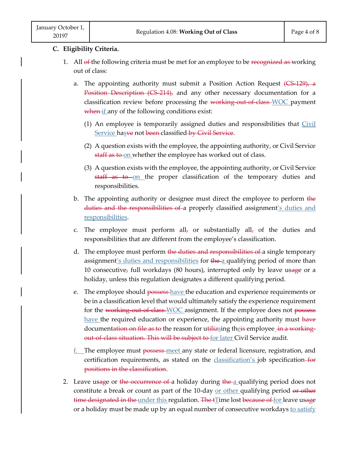- 1. All of the following criteria must be met for an employee to be recognized as working out of class:
	- a. The appointing authority must submit a Position Action Request (CS-129), a Position Description (CS-214), and any other necessary documentation for a classification review before processing the working out of class WOC payment when if any of the following conditions exist:
		- (1) An employee is temporarily assigned duties and responsibilities that Civil <u>Service has</u><del>ve</del> not <del>been c</del>lassified <del>by Civil Service</del>.
		- (2) A question exists with the employee, the appointing authority, or Civil Service staff as to on whether the employee has worked out of class.
		- (3) A question exists with the employee, the appointing authority, or Civil Service staff as to on the proper classification of the temporary duties and responsibilities.
	- b. The appointing authority or designee must direct the employee to perform the duties and the responsibilities of a properly classified assignment's duties and responsibilities.
	- c. The employee must perform all<sub>7</sub> or substantially all<sub>7</sub> of the duties and responsibilities that are different from the employee's classification.
	- d. The employee must perform the duties and responsibilities of a single temporary assignment's duties and responsibilities for the a qualifying period of more than 10 consecutive, full workdays (80 hours), interrupted only by leave usage or a holiday, unless this regulation designates a different qualifying period.
	- e. The employee should possess-have the education and experience requirements or be in a classification level that would ultimately satisfy the experience requirement for the working out of class WOC assignment. If the employee does not possess have the required education or experience, the appointing authority must have documentation on file as to the reason for utilizeing theis employee in a workingout-of-class situation. This will be subject to for later Civil Service audit.
	- f. The employee must possess meet any state or federal licensure, registration, and certification requirements, as stated on the **classification's** job specification-for positions in the classification.
- 2. Leave usage or the occurrence of a holiday during the a qualifying period does not constitute a break or count as part of the 10-day or other qualifying period or other time designated in the under this regulation. The fIime lost because of for leave usage or a holiday must be made up by an equal number of consecutive workdays to satisfy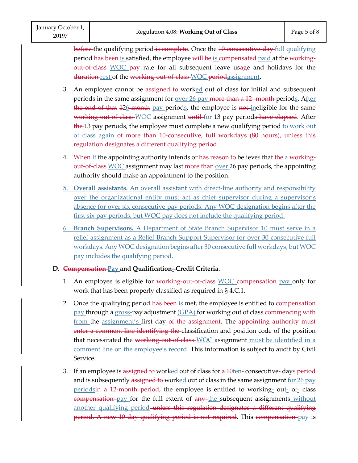before the qualifying period is complete. Once the 10 consecutive day full qualifying period has been is satisfied, the employee will be is compensated paid at the workingout-of-class WOC pay rate for all subsequent leave usage and holidays for the duration rest of the working-out-of-class WOC periodassignment.

- 3. An employee cannot be assigned to-worked out of class for initial and subsequent periods in the same assignment for <u>over 26 pay more than a 12-month</u> periods. After <del>the end of that</del> 12<u>6</u>-<del>month</del> pay periods, the employee is <del>not i</del>neligible for the same working out of class WOC assignment until for 13 pay periods have elapsed. After the 13 pay periods, the employee must complete a new qualifying period to work out of class again of more than 10-consecutive, full workdays (80 hours), unless this regulation designates a different qualifying period.
- 4. When If the appointing authority intends or has reason to believes that the a workingout-of-class WOC assignment may last more than over 26 pay periods, the appointing authority should make an appointment to the position.
- 5. **Overall assistants.** An overall assistant with direct-line authority and responsibility over the organizational entity must act as chief supervisor during a supervisor's absence for over six consecutive pay periods. Any WOC designation begins after the first six pay periods, but WOC pay does not include the qualifying period.
- 6. **Branch Supervisors.** A Department of State Branch Supervisor 10 must serve in a relief assignment as a Relief Branch Support Supervisor for over 30 consecutive full workdays. Any WOC designation begins after 30 consecutive full workdays, but WOC pay includes the qualifying period.

#### **D. Compensation Pay and Qualification- Credit Criteria.**

- 1. An employee is eligible for working out of class WOC compensation pay only for work that has been properly classified as required in § 4.C.1.
- 2. Once the qualifying period has been is met, the employee is entitled to compensation pay through a <u>gross-</u>pay adjustment <u>(GPA)</u> for working out of class <del>commencing with</del> from the assignment's first day-of the assignment. The appointing authority must enter a comment line identifying the classification and position code of the position that necessitated the working out of class WOC assignment must be identified in a comment line on the employee's record. This information is subject to audit by Civil Service. Once the qualifying per<br>pay through a gross-pay<br>from the assignment's<br>enter a comment line id
- 3. If an employee is <del>assigned to </del>work<u>ed</u> out of class for <del>a 10</del>ten-consecutive-day<u>s</u>-<del>period</del> and is subsequently assigned to worked out of class in the same assignment for 26 pay periods in a 12 month period, the employee is entitled to working-out-of-class compensation pay for the full extent of any the subsequent assignments without another qualifying period unless this regulation designates a different qualifying period. A new 10-day qualifying period is not required. This compensation-pay is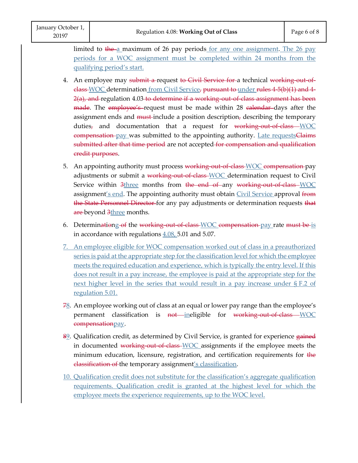limited to the a maximum of 26 pay periods for any one assignment. The 26 pay periods for a WOC assignment must be completed within 24 months from the qualifying period's start.

- 4. An employee may submit a request to Civil Service for a technical working out-ofelass WOC determination from Civil Service, pursuant to under rules 4-5(b)(1) and 4- $2(a)$ , and regulation 4.03 to determine if a working out of class assignment has been made. The employee's request must be made within 28 calendar days after the assignment ends and must-include a position description, describing the temporary duties<sub>7</sub> and documentation that a request for working-out-of-class WOC compensation pay was submitted to the appointing authority. Late requestsClaims submitted after that time period are not accepted for compensation and qualification credit purposes.
- 5. An appointing authority must process working-out-of-class-WOC compensation-pay adjustments or submit a working out of class WOC determination request to Civil Service within 3three months from the end of any working-out-of-class WOC assignment's end. The appointing authority must obtain Civil Service approval from <del>the State Personnel Director f</del>or any pay adjustments or determination requests <del>that</del> are-beyond 3three months. within 3three months from the end of any working ont's end. The appointing authority must obtain Civil Servi<br>Personnel Director for any pay adjustments or determina<br>ind 3three months.<br>ationg of the working out of class-WOC
- 6. Determinationg of the working out of class  $WOC$  compensation pay rate must be is in accordance with regulations  $4.08, 5.01$  and  $5.07$ .
- 7. An employee eligible for WOC compensation worked out of class in a preauthorized series is paid at the appropriate step for the classification level for which the employee meets the required education and experience, which is typically the entry level. If this does not result in a pay increase, the employee is paid at the appropriate step for the next higher level in the series that would result in a pay increase under § F.2 of regulation 5.01.
- $78.$  An employee working out of class at an equal or lower pay range than the employee's permanent classification is not ineligible for working-out-of-class WOC compensationpay.
- 82. Qualification credit, as determined by Civil Service, is granted for experience gained in documented working out of class WOC assignments if the employee meets the minimum education, licensure, registration, and certification requirements for the classification of the temporary assignment's classification.
- 10. Qualification credit does not substitute for the classification's aggregate qualification requirements. Qualification credit is granted at the highest level for which the employee meets the experience requirements, up to the WOC level.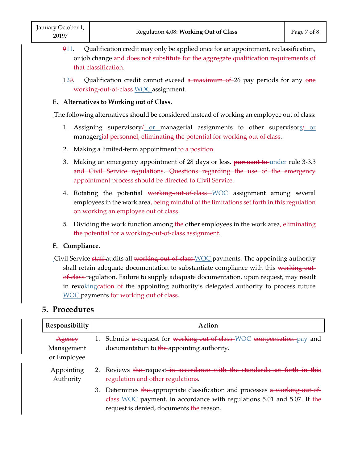- 911. Qualification credit may only be applied once for an appointment, reclassification, or job change and does not substitute for the aggregate qualification requirements of that classification.
- $12\theta$ . Qualification credit cannot exceed a maximum of 26 pay periods for any one working out of class WOC assignment.

#### **E. Alternatives to Working out of Class.**

The following alternatives should be considered instead of working an employee out of class:

- 1. Assigning supervisory or managerial assignments to other supervisors or managersial personnel, eliminating the potential for working out of class.
- 2. Making a limited-term appointment-to a position.
- 3. Making an emergency appointment of 28 days or less, pursuant to under rule 3-3.3 and Civil Service regulations. Questions regarding the use of the emergency appointment process should be directed to Civil Service.
- 4. Rotating the potential working-out-of-class WOC assignment among several employees in the work area, being mindful of the limitations set forth in this regulation on working an employee out of class.
- 5. Dividing the work function among the other employees in the work area, eliminating the potential for a working out-of-class assignment.

#### **F. Compliance.**

Civil Service <del>staff</del>-audits all <del>working out of class WOC</del> payments. The appointing authority shall retain adequate documentation to substantiate compliance with this working outof-class-regulation. Failure to supply adequate documentation, upon request, may result in revoking cation of the appointing authority's delegated authority to process future WOC payments for working out of class.

## **5. Procedures**

| Responsibility                      | Action |                                                                                                                                                                                                                                    |
|-------------------------------------|--------|------------------------------------------------------------------------------------------------------------------------------------------------------------------------------------------------------------------------------------|
| Agency<br>Management<br>or Employee |        | 1. Submits a-request for working-out-of-class-WOC compensation-pay and<br>documentation to the appointing authority.                                                                                                               |
| Appointing<br>Authority             |        | 2. Reviews the request in accordance with the standards set forth in this<br>regulation and other regulations.                                                                                                                     |
|                                     |        | 3. Determines the appropriate classification and processes a working out of<br>$\frac{\text{class}-\text{WOC}}{\text{payment}}$ , in accordance with regulations 5.01 and 5.07. If the<br>request is denied, documents the reason. |